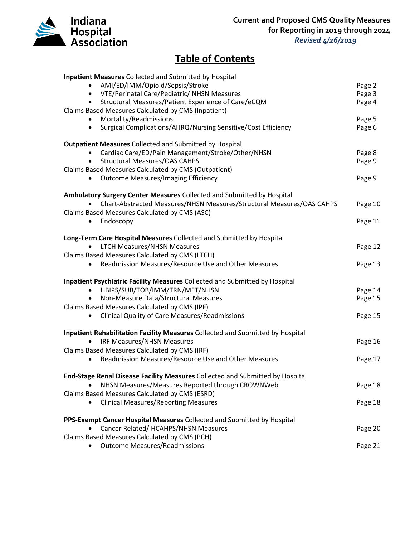

## **Table of Contents**

| Inpatient Measures Collected and Submitted by Hospital                         |         |
|--------------------------------------------------------------------------------|---------|
| AMI/ED/IMM/Opioid/Sepsis/Stroke                                                | Page 2  |
| VTE/Perinatal Care/Pediatric/ NHSN Measures<br>$\bullet$                       | Page 3  |
| Structural Measures/Patient Experience of Care/eCQM<br>$\bullet$               | Page 4  |
| Claims Based Measures Calculated by CMS (Inpatient)                            |         |
| Mortality/Readmissions<br>$\bullet$                                            | Page 5  |
| Surgical Complications/AHRQ/Nursing Sensitive/Cost Efficiency<br>$\bullet$     | Page 6  |
|                                                                                |         |
| <b>Outpatient Measures Collected and Submitted by Hospital</b>                 |         |
| Cardiac Care/ED/Pain Management/Stroke/Other/NHSN                              | Page 8  |
| <b>Structural Measures/OAS CAHPS</b>                                           | Page 9  |
| Claims Based Measures Calculated by CMS (Outpatient)                           |         |
| <b>Outcome Measures/Imaging Efficiency</b><br>$\bullet$                        | Page 9  |
| Ambulatory Surgery Center Measures Collected and Submitted by Hospital         |         |
| Chart-Abstracted Measures/NHSN Measures/Structural Measures/OAS CAHPS          | Page 10 |
| Claims Based Measures Calculated by CMS (ASC)                                  |         |
|                                                                                | Page 11 |
| Endoscopy<br>$\bullet$                                                         |         |
| Long-Term Care Hospital Measures Collected and Submitted by Hospital           |         |
| <b>LTCH Measures/NHSN Measures</b>                                             | Page 12 |
| Claims Based Measures Calculated by CMS (LTCH)                                 |         |
| Readmission Measures/Resource Use and Other Measures                           | Page 13 |
|                                                                                |         |
| Inpatient Psychiatric Facility Measures Collected and Submitted by Hospital    |         |
| HBIPS/SUB/TOB/IMM/TRN/MET/NHSN<br>$\bullet$                                    | Page 14 |
| Non-Measure Data/Structural Measures                                           | Page 15 |
| Claims Based Measures Calculated by CMS (IPF)                                  |         |
| <b>Clinical Quality of Care Measures/Readmissions</b><br>$\bullet$             | Page 15 |
|                                                                                |         |
| Inpatient Rehabilitation Facility Measures Collected and Submitted by Hospital |         |
| <b>IRF Measures/NHSN Measures</b>                                              | Page 16 |
| Claims Based Measures Calculated by CMS (IRF)                                  |         |
| Readmission Measures/Resource Use and Other Measures<br>٠                      | Page 17 |
| End-Stage Renal Disease Facility Measures Collected and Submitted by Hospital  |         |
| NHSN Measures/Measures Reported through CROWNWeb                               | Page 18 |
| Claims Based Measures Calculated by CMS (ESRD)                                 |         |
| <b>Clinical Measures/Reporting Measures</b>                                    | Page 18 |
|                                                                                |         |
| PPS-Exempt Cancer Hospital Measures Collected and Submitted by Hospital        |         |
| Cancer Related/ HCAHPS/NHSN Measures                                           | Page 20 |
| Claims Based Measures Calculated by CMS (PCH)                                  |         |
| <b>Outcome Measures/Readmissions</b>                                           | Page 21 |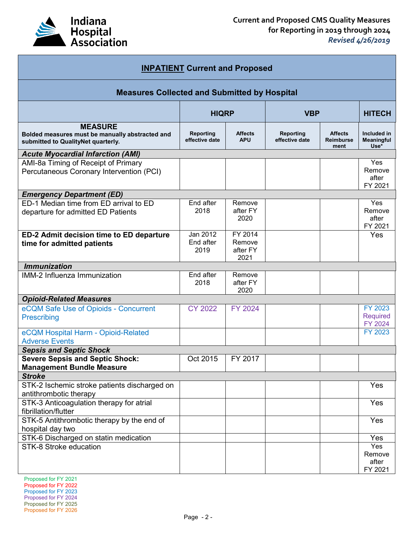

| <b>INPATIENT Current and Proposed</b>                                                                   |                               |                                       |                             |                                            |                                       |
|---------------------------------------------------------------------------------------------------------|-------------------------------|---------------------------------------|-----------------------------|--------------------------------------------|---------------------------------------|
| <b>Measures Collected and Submitted by Hospital</b>                                                     |                               |                                       |                             |                                            |                                       |
| <b>HIQRP</b><br><b>VBP</b>                                                                              |                               |                                       |                             |                                            | <b>HITECH</b>                         |
| <b>MEASURE</b><br>Bolded measures must be manually abstracted and<br>submitted to QualityNet quarterly. | Reporting<br>effective date   | <b>Affects</b><br><b>APU</b>          | Reporting<br>effective date | <b>Affects</b><br><b>Reimburse</b><br>ment | Included in<br>Meaningful<br>Use*     |
| <b>Acute Myocardial Infarction (AMI)</b>                                                                |                               |                                       |                             |                                            |                                       |
| AMI-8a Timing of Receipt of Primary<br>Percutaneous Coronary Intervention (PCI)                         |                               |                                       |                             |                                            | Yes<br>Remove<br>after<br>FY 2021     |
| <b>Emergency Department (ED)</b>                                                                        |                               |                                       |                             |                                            |                                       |
| ED-1 Median time from ED arrival to ED<br>departure for admitted ED Patients                            | End after<br>2018             | Remove<br>after FY<br>2020            |                             |                                            | Yes<br>Remove<br>after<br>FY 2021     |
| ED-2 Admit decision time to ED departure<br>time for admitted patients                                  | Jan 2012<br>End after<br>2019 | FY 2014<br>Remove<br>after FY<br>2021 |                             |                                            | Yes                                   |
| <b>Immunization</b>                                                                                     |                               |                                       |                             |                                            |                                       |
| IMM-2 Influenza Immunization                                                                            | End after<br>2018             | Remove<br>after FY<br>2020            |                             |                                            |                                       |
| <b>Opioid-Related Measures</b>                                                                          |                               |                                       |                             |                                            |                                       |
| eCQM Safe Use of Opioids - Concurrent<br>Prescribing                                                    | <b>CY 2022</b>                | <b>FY 2024</b>                        |                             |                                            | FY 2023<br><b>Required</b><br>FY 2024 |
| eCQM Hospital Harm - Opioid-Related<br><b>Adverse Events</b>                                            |                               |                                       |                             |                                            | FY 2023                               |
| <b>Sepsis and Septic Shock</b>                                                                          |                               |                                       |                             |                                            |                                       |
| <b>Severe Sepsis and Septic Shock:</b><br><b>Management Bundle Measure</b>                              | Oct 2015                      | FY 2017                               |                             |                                            |                                       |
| <b>Stroke</b>                                                                                           |                               |                                       |                             |                                            |                                       |
| STK-2 Ischemic stroke patients discharged on<br>antithrombotic therapy                                  |                               |                                       |                             |                                            | Yes                                   |
| STK-3 Anticoagulation therapy for atrial<br>fibrillation/flutter                                        |                               |                                       |                             |                                            | Yes                                   |
| STK-5 Antithrombotic therapy by the end of<br>hospital day two                                          |                               |                                       |                             |                                            | Yes                                   |
| STK-6 Discharged on statin medication                                                                   |                               |                                       |                             |                                            | Yes                                   |
| STK-8 Stroke education                                                                                  |                               |                                       |                             |                                            | Yes<br>Remove<br>after<br>FY 2021     |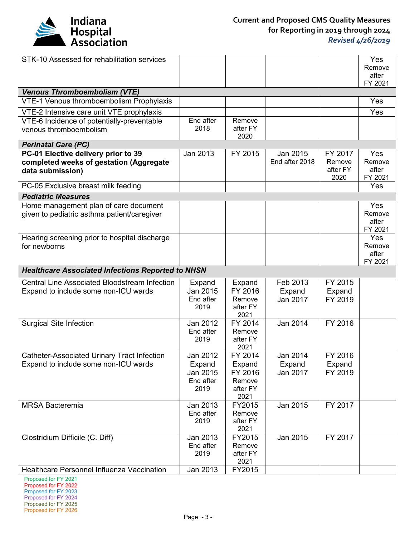

| STK-10 Assessed for rehabilitation services                                     |                   |                    |                |          | Yes             |  |
|---------------------------------------------------------------------------------|-------------------|--------------------|----------------|----------|-----------------|--|
|                                                                                 |                   |                    |                |          | Remove          |  |
|                                                                                 |                   |                    |                |          | after           |  |
|                                                                                 |                   |                    |                |          | FY 2021         |  |
| <b>Venous Thromboembolism (VTE)</b><br>VTE-1 Venous thromboembolism Prophylaxis |                   |                    |                |          | Yes             |  |
|                                                                                 |                   |                    |                |          |                 |  |
| VTE-2 Intensive care unit VTE prophylaxis                                       |                   |                    |                |          | Yes             |  |
| VTE-6 Incidence of potentially-preventable                                      | End after         | Remove             |                |          |                 |  |
| venous thromboembolism                                                          | 2018              | after FY<br>2020   |                |          |                 |  |
| <b>Perinatal Care (PC)</b>                                                      |                   |                    |                |          |                 |  |
| PC-01 Elective delivery prior to 39                                             | Jan 2013          | FY 2015            | Jan 2015       | FY 2017  | Yes             |  |
| completed weeks of gestation (Aggregate                                         |                   |                    | End after 2018 | Remove   | Remove          |  |
| data submission)                                                                |                   |                    |                | after FY | after           |  |
|                                                                                 |                   |                    |                | 2020     | FY 2021         |  |
| PC-05 Exclusive breast milk feeding                                             |                   |                    |                |          | Yes             |  |
| <b>Pediatric Measures</b>                                                       |                   |                    |                |          |                 |  |
| Home management plan of care document                                           |                   |                    |                |          | Yes             |  |
| given to pediatric asthma patient/caregiver                                     |                   |                    |                |          | Remove          |  |
|                                                                                 |                   |                    |                |          | after           |  |
|                                                                                 |                   |                    |                |          | FY 2021         |  |
| Hearing screening prior to hospital discharge                                   |                   |                    |                |          | Yes             |  |
| for newborns                                                                    |                   |                    |                |          | Remove<br>after |  |
|                                                                                 |                   |                    |                |          |                 |  |
| FY 2021                                                                         |                   |                    |                |          |                 |  |
| <b>Healthcare Associated Infections Reported to NHSN</b>                        |                   |                    |                |          |                 |  |
|                                                                                 |                   |                    |                |          |                 |  |
| <b>Central Line Associated Bloodstream Infection</b>                            | Expand            | Expand             | Feb 2013       | FY 2015  |                 |  |
| Expand to include some non-ICU wards                                            | Jan 2015          | FY 2016            | Expand         | Expand   |                 |  |
|                                                                                 | End after<br>2019 | Remove<br>after FY | Jan 2017       | FY 2019  |                 |  |
|                                                                                 |                   | 2021               |                |          |                 |  |
| <b>Surgical Site Infection</b>                                                  | Jan 2012          | FY 2014            | Jan 2014       | FY 2016  |                 |  |
|                                                                                 | End after         | Remove             |                |          |                 |  |
|                                                                                 | 2019              | after FY           |                |          |                 |  |
|                                                                                 |                   | 2021               |                |          |                 |  |
| Catheter-Associated Urinary Tract Infection                                     | Jan 2012          | FY 2014            | Jan 2014       | FY 2016  |                 |  |
| Expand to include some non-ICU wards                                            | Expand            | Expand             | Expand         | Expand   |                 |  |
|                                                                                 | Jan 2015          | FY 2016            | Jan 2017       | FY 2019  |                 |  |
|                                                                                 | End after         | Remove             |                |          |                 |  |
|                                                                                 | 2019              | after FY           |                |          |                 |  |
| <b>MRSA Bacteremia</b>                                                          | Jan 2013          | 2021<br>FY2015     |                | FY 2017  |                 |  |
|                                                                                 | End after         | Remove             | Jan 2015       |          |                 |  |
|                                                                                 | 2019              | after FY           |                |          |                 |  |
|                                                                                 |                   | 2021               |                |          |                 |  |
| Clostridium Difficile (C. Diff)                                                 | Jan 2013          | FY2015             | Jan 2015       | FY 2017  |                 |  |
|                                                                                 | End after         | Remove             |                |          |                 |  |
|                                                                                 | 2019              | after FY           |                |          |                 |  |
| Healthcare Personnel Influenza Vaccination                                      | Jan 2013          | 2021<br>FY2015     |                |          |                 |  |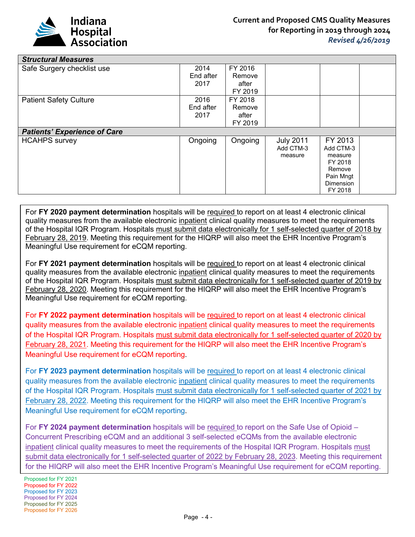

| <b>Structural Measures</b>          |           |         |                  |                             |  |
|-------------------------------------|-----------|---------|------------------|-----------------------------|--|
| Safe Surgery checklist use          | 2014      | FY 2016 |                  |                             |  |
|                                     | End after | Remove  |                  |                             |  |
|                                     | 2017      | after   |                  |                             |  |
|                                     |           | FY 2019 |                  |                             |  |
| <b>Patient Safety Culture</b>       | 2016      | FY 2018 |                  |                             |  |
|                                     | End after | Remove  |                  |                             |  |
|                                     | 2017      | after   |                  |                             |  |
|                                     |           | FY 2019 |                  |                             |  |
|                                     |           |         |                  |                             |  |
| <b>Patients' Experience of Care</b> |           |         |                  |                             |  |
| <b>HCAHPS</b> survey                | Ongoing   | Ongoing | <b>July 2011</b> | FY 2013                     |  |
|                                     |           |         | Add CTM-3        | Add CTM-3                   |  |
|                                     |           |         | measure          | measure                     |  |
|                                     |           |         |                  | FY 2018                     |  |
|                                     |           |         |                  | Remove                      |  |
|                                     |           |         |                  | Pain Mngt                   |  |
|                                     |           |         |                  | <b>Dimension</b><br>FY 2018 |  |

For **FY 2020 payment determination** hospitals will be required to report on at least 4 electronic clinical quality measures from the available electronic inpatient clinical quality measures to meet the requirements of the Hospital IQR Program. Hospitals must submit data electronically for 1 self-selected quarter of 2018 by February 28, 2019. Meeting this requirement for the HIQRP will also meet the EHR Incentive Program's Meaningful Use requirement for eCQM reporting.

For **FY 2021 payment determination** hospitals will be required to report on at least 4 electronic clinical quality measures from the available electronic inpatient clinical quality measures to meet the requirements of the Hospital IQR Program. Hospitals must submit data electronically for 1 self-selected quarter of 2019 by February 28, 2020. Meeting this requirement for the HIQRP will also meet the EHR Incentive Program's Meaningful Use requirement for eCQM reporting.

For **FY 2022 payment determination** hospitals will be required to report on at least 4 electronic clinical quality measures from the available electronic inpatient clinical quality measures to meet the requirements of the Hospital IQR Program. Hospitals must submit data electronically for 1 self-selected quarter of 2020 by February 28, 2021. Meeting this requirement for the HIQRP will also meet the EHR Incentive Program's Meaningful Use requirement for eCQM reporting.

For **FY 2023 payment determination** hospitals will be required to report on at least 4 electronic clinical quality measures from the available electronic inpatient clinical quality measures to meet the requirements of the Hospital IQR Program. Hospitals must submit data electronically for 1 self-selected quarter of 2021 by February 28, 2022. Meeting this requirement for the HIQRP will also meet the EHR Incentive Program's Meaningful Use requirement for eCQM reporting.

For **FY 2024 payment determination** hospitals will be required to report on the Safe Use of Opioid – Concurrent Prescribing eCQM and an additional 3 self-selected eCQMs from the available electronic inpatient clinical quality measures to meet the requirements of the Hospital IQR Program. Hospitals must submit data electronically for 1 self-selected quarter of 2022 by February 28, 2023. Meeting this requirement for the HIQRP will also meet the EHR Incentive Program's Meaningful Use requirement for eCQM reporting.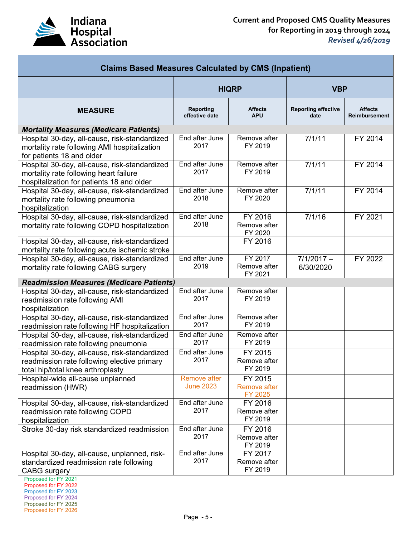

| <b>Claims Based Measures Calculated by CMS (Inpatient)</b>                                                                           |                                    |                                           |                                    |                                 |
|--------------------------------------------------------------------------------------------------------------------------------------|------------------------------------|-------------------------------------------|------------------------------------|---------------------------------|
|                                                                                                                                      | <b>HIQRP</b>                       |                                           | <b>VBP</b>                         |                                 |
| <b>MEASURE</b>                                                                                                                       | <b>Reporting</b><br>effective date | <b>Affects</b><br><b>APU</b>              | <b>Reporting effective</b><br>date | <b>Affects</b><br>Reimbursement |
| <b>Mortality Measures (Medicare Patients)</b>                                                                                        |                                    |                                           |                                    |                                 |
| Hospital 30-day, all-cause, risk-standardized<br>mortality rate following AMI hospitalization<br>for patients 18 and older           | End after June<br>2017             | Remove after<br>FY 2019                   | 7/1/11                             | FY 2014                         |
| Hospital 30-day, all-cause, risk-standardized<br>mortality rate following heart failure<br>hospitalization for patients 18 and older | End after June<br>2017             | Remove after<br>FY 2019                   | 7/1/11                             | FY 2014                         |
| Hospital 30-day, all-cause, risk-standardized<br>mortality rate following pneumonia<br>hospitalization                               | End after June<br>2018             | Remove after<br>FY 2020                   | 7/1/11                             | FY 2014                         |
| Hospital 30-day, all-cause, risk-standardized<br>mortality rate following COPD hospitalization                                       | End after June<br>2018             | FY 2016<br>Remove after<br>FY 2020        | 7/1/16                             | FY 2021                         |
| Hospital 30-day, all-cause, risk-standardized<br>mortality rate following acute ischemic stroke                                      |                                    | FY 2016                                   |                                    |                                 |
| Hospital 30-day, all-cause, risk-standardized<br>mortality rate following CABG surgery                                               | End after June<br>2019             | FY 2017<br>Remove after<br>FY 2021        | $7/1/2017 -$<br>6/30/2020          | FY 2022                         |
| <b>Readmission Measures (Medicare Patients)</b>                                                                                      |                                    |                                           |                                    |                                 |
| Hospital 30-day, all-cause, risk-standardized<br>readmission rate following AMI<br>hospitalization                                   | End after June<br>2017             | Remove after<br>FY 2019                   |                                    |                                 |
| Hospital 30-day, all-cause, risk-standardized<br>readmission rate following HF hospitalization                                       | End after June<br>2017             | Remove after<br>FY 2019                   |                                    |                                 |
| Hospital 30-day, all-cause, risk-standardized<br>readmission rate following pneumonia                                                | End after June<br>2017             | Remove after<br>FY 2019                   |                                    |                                 |
| Hospital 30-day, all-cause, risk-standardized<br>readmission rate following elective primary<br>total hip/total knee arthroplasty    | End after June<br>2017             | FY 2015<br>Remove after<br>FY 2019        |                                    |                                 |
| Hospital-wide all-cause unplanned<br>readmission (HWR)                                                                               | Remove after<br><b>June 2023</b>   | FY 2015<br><b>Remove after</b><br>FY 2025 |                                    |                                 |
| Hospital 30-day, all-cause, risk-standardized<br>readmission rate following COPD<br>hospitalization                                  | End after June<br>2017             | FY 2016<br>Remove after<br>FY 2019        |                                    |                                 |
| Stroke 30-day risk standardized readmission                                                                                          | End after June<br>2017             | FY 2016<br>Remove after<br>FY 2019        |                                    |                                 |
| Hospital 30-day, all-cause, unplanned, risk-<br>standardized readmission rate following<br><b>CABG</b> surgery                       | End after June<br>2017             | FY 2017<br>Remove after<br>FY 2019        |                                    |                                 |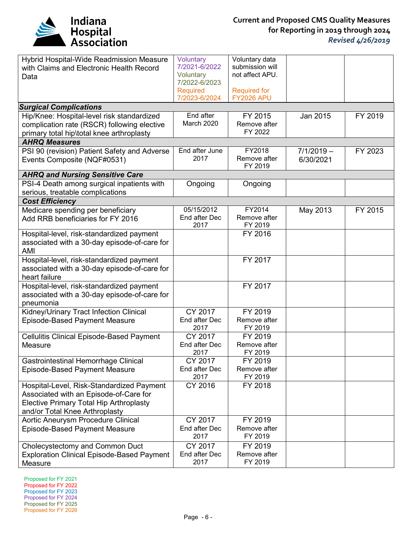

| Hybrid Hospital-Wide Readmission Measure<br>with Claims and Electronic Health Record<br>Data                                                                            | Voluntary<br>7/2021-6/2022<br>Voluntary<br>7/2022-6/2023<br><b>Required</b><br>7/2023-6/2024 | Voluntary data<br>submission will<br>not affect APU.<br><b>Required for</b><br><b>FY2026 APU</b> |                           |         |
|-------------------------------------------------------------------------------------------------------------------------------------------------------------------------|----------------------------------------------------------------------------------------------|--------------------------------------------------------------------------------------------------|---------------------------|---------|
| <b>Surgical Complications</b>                                                                                                                                           |                                                                                              |                                                                                                  |                           |         |
| Hip/Knee: Hospital-level risk standardized<br>complication rate (RSCR) following elective<br>primary total hip\total knee arthroplasty                                  | End after<br>March 2020                                                                      | FY 2015<br>Remove after<br>FY 2022                                                               | Jan 2015                  | FY 2019 |
| <b>AHRQ Measures</b>                                                                                                                                                    |                                                                                              |                                                                                                  |                           |         |
| PSI 90 (revision) Patient Safety and Adverse<br>Events Composite (NQF#0531)                                                                                             | End after June<br>2017                                                                       | FY2018<br>Remove after<br>FY 2019                                                                | $7/1/2019 -$<br>6/30/2021 | FY 2023 |
| <b>AHRQ and Nursing Sensitive Care</b>                                                                                                                                  |                                                                                              |                                                                                                  |                           |         |
| PSI-4 Death among surgical inpatients with<br>serious, treatable complications                                                                                          | Ongoing                                                                                      | Ongoing                                                                                          |                           |         |
| <b>Cost Efficiency</b>                                                                                                                                                  |                                                                                              |                                                                                                  |                           |         |
| Medicare spending per beneficiary<br>Add RRB beneficiaries for FY 2016                                                                                                  | 05/15/2012<br>End after Dec<br>2017                                                          | FY2014<br>Remove after<br>FY 2019                                                                | May 2013                  | FY 2015 |
| Hospital-level, risk-standardized payment<br>associated with a 30-day episode-of-care for<br>AMI                                                                        |                                                                                              | FY 2016                                                                                          |                           |         |
| Hospital-level, risk-standardized payment<br>associated with a 30-day episode-of-care for<br>heart failure                                                              |                                                                                              | FY 2017                                                                                          |                           |         |
| Hospital-level, risk-standardized payment<br>associated with a 30-day episode-of-care for<br>pneumonia                                                                  |                                                                                              | FY 2017                                                                                          |                           |         |
| Kidney/Urinary Tract Infection Clinical<br><b>Episode-Based Payment Measure</b>                                                                                         | CY 2017<br>End after Dec<br>2017                                                             | FY 2019<br>Remove after<br>FY 2019                                                               |                           |         |
| Cellulitis Clinical Episode-Based Payment<br>Measure                                                                                                                    | CY 2017<br>End after Dec<br>2017                                                             | FY 2019<br>Remove after<br>FY 2019                                                               |                           |         |
| <b>Gastrointestinal Hemorrhage Clinical</b><br><b>Episode-Based Payment Measure</b>                                                                                     | CY 2017<br>End after Dec<br>2017                                                             | FY 2019<br>Remove after<br>FY 2019                                                               |                           |         |
| Hospital-Level, Risk-Standardized Payment<br>Associated with an Episode-of-Care for<br><b>Elective Primary Total Hip Arthroplasty</b><br>and/or Total Knee Arthroplasty | CY 2016                                                                                      | FY 2018                                                                                          |                           |         |
| Aortic Aneurysm Procedure Clinical<br>Episode-Based Payment Measure                                                                                                     | CY 2017<br>End after Dec<br>2017                                                             | FY 2019<br>Remove after<br>FY 2019                                                               |                           |         |
| Cholecystectomy and Common Duct<br><b>Exploration Clinical Episode-Based Payment</b><br>Measure                                                                         | CY 2017<br>End after Dec<br>2017                                                             | FY 2019<br>Remove after<br>FY 2019                                                               |                           |         |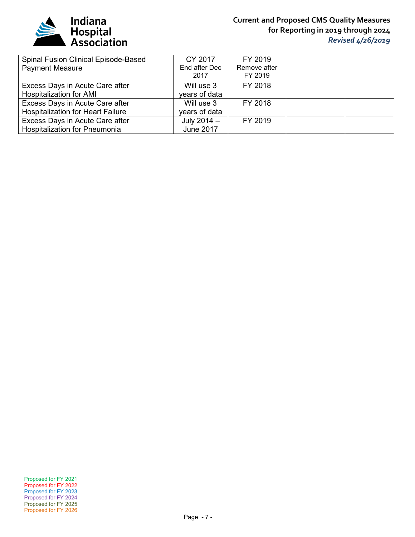

## **Current and Proposed CMS Quality Measures for Reporting in 2019 through 2024** *Revised 4/26/2019*

| Spinal Fusion Clinical Episode-Based     | CY 2017          | FY 2019      |  |
|------------------------------------------|------------------|--------------|--|
| <b>Payment Measure</b>                   | End after Dec    | Remove after |  |
|                                          | 2017             | FY 2019      |  |
| Excess Days in Acute Care after          | Will use 3       | FY 2018      |  |
| Hospitalization for AMI                  | years of data    |              |  |
| Excess Days in Acute Care after          | Will use 3       | FY 2018      |  |
| <b>Hospitalization for Heart Failure</b> | years of data    |              |  |
| Excess Days in Acute Care after          | July $2014 -$    | FY 2019      |  |
| <b>Hospitalization for Pneumonia</b>     | <b>June 2017</b> |              |  |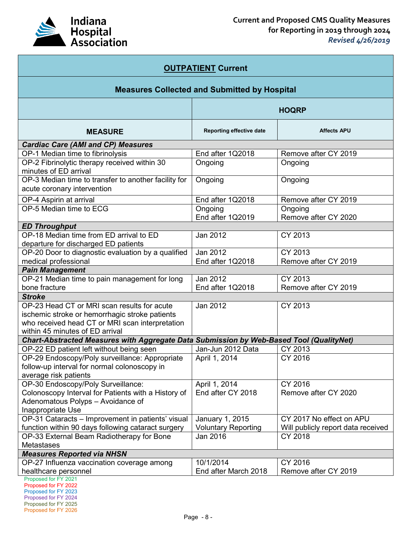

| <b>OUTPATIENT Current</b>                                                                                                                                                           |                                    |                                    |  |  |  |
|-------------------------------------------------------------------------------------------------------------------------------------------------------------------------------------|------------------------------------|------------------------------------|--|--|--|
| <b>Measures Collected and Submitted by Hospital</b>                                                                                                                                 |                                    |                                    |  |  |  |
| <b>HOQRP</b>                                                                                                                                                                        |                                    |                                    |  |  |  |
| <b>MEASURE</b>                                                                                                                                                                      | Reporting effective date           | <b>Affects APU</b>                 |  |  |  |
| <b>Cardiac Care (AMI and CP) Measures</b>                                                                                                                                           |                                    |                                    |  |  |  |
| OP-1 Median time to fibrinolysis                                                                                                                                                    | End after 1Q2018                   | Remove after CY 2019               |  |  |  |
| OP-2 Fibrinolytic therapy received within 30<br>minutes of ED arrival                                                                                                               | Ongoing                            | Ongoing                            |  |  |  |
| OP-3 Median time to transfer to another facility for<br>acute coronary intervention                                                                                                 | Ongoing                            | Ongoing                            |  |  |  |
| OP-4 Aspirin at arrival                                                                                                                                                             | End after 1Q2018                   | Remove after CY 2019               |  |  |  |
| OP-5 Median time to ECG                                                                                                                                                             | Ongoing<br>End after 1Q2019        | Ongoing<br>Remove after CY 2020    |  |  |  |
| <b>ED Throughput</b>                                                                                                                                                                |                                    |                                    |  |  |  |
| OP-18 Median time from ED arrival to ED                                                                                                                                             | Jan 2012                           | CY 2013                            |  |  |  |
| departure for discharged ED patients                                                                                                                                                |                                    |                                    |  |  |  |
| OP-20 Door to diagnostic evaluation by a qualified                                                                                                                                  | Jan 2012                           | CY 2013                            |  |  |  |
| medical professional                                                                                                                                                                | End after 1Q2018                   | Remove after CY 2019               |  |  |  |
| <b>Pain Management</b>                                                                                                                                                              |                                    |                                    |  |  |  |
| OP-21 Median time to pain management for long                                                                                                                                       | Jan 2012                           | CY 2013                            |  |  |  |
| bone fracture                                                                                                                                                                       | End after 1Q2018                   | Remove after CY 2019               |  |  |  |
| <b>Stroke</b>                                                                                                                                                                       |                                    |                                    |  |  |  |
| OP-23 Head CT or MRI scan results for acute<br>ischemic stroke or hemorrhagic stroke patients<br>who received head CT or MRI scan interpretation<br>within 45 minutes of ED arrival | Jan 2012                           | CY 2013                            |  |  |  |
| Chart-Abstracted Measures with Aggregate Data Submission by Web-Based Tool (QualityNet)                                                                                             |                                    |                                    |  |  |  |
| OP-22 ED patient left without being seen                                                                                                                                            | Jan-Jun 2012 Data                  | CY 2013                            |  |  |  |
| OP-29 Endoscopy/Poly surveillance: Appropriate<br>follow-up interval for normal colonoscopy in<br>average risk patients                                                             | April 1, 2014                      | CY 2016                            |  |  |  |
| OP-30 Endoscopy/Poly Surveillance:<br>Colonoscopy Interval for Patients with a History of<br>Adenomatous Polyps - Avoidance of<br>Inappropriate Use                                 | April 1, 2014<br>End after CY 2018 | CY 2016<br>Remove after CY 2020    |  |  |  |
| OP-31 Cataracts - Improvement in patients' visual                                                                                                                                   | January 1, 2015                    | CY 2017 No effect on APU           |  |  |  |
| function within 90 days following cataract surgery                                                                                                                                  | <b>Voluntary Reporting</b>         | Will publicly report data received |  |  |  |
| OP-33 External Beam Radiotherapy for Bone                                                                                                                                           | Jan 2016                           | CY 2018                            |  |  |  |
| <b>Metastases</b>                                                                                                                                                                   |                                    |                                    |  |  |  |
| <b>Measures Reported via NHSN</b>                                                                                                                                                   |                                    |                                    |  |  |  |
| OP-27 Influenza vaccination coverage among                                                                                                                                          | 10/1/2014                          | CY 2016                            |  |  |  |
| healthcare personnel<br>Proposed for FY 2021                                                                                                                                        | End after March 2018               | Remove after CY 2019               |  |  |  |
| Proposed for FY 2022<br>Proposed for FY 2023                                                                                                                                        |                                    |                                    |  |  |  |

Proposed for FY 2023 Proposed for FY 2024 Proposed for FY 2025

Proposed for FY 2026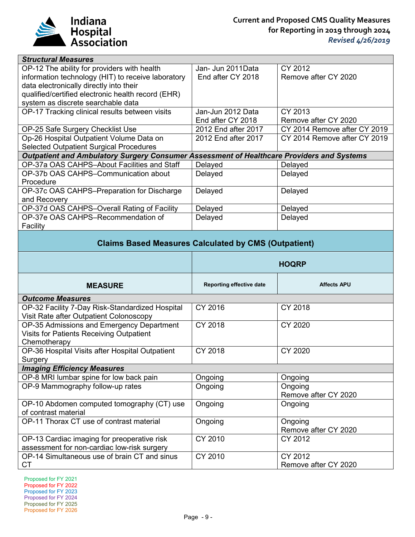

| <b>Structural Measures</b>                                                                |                     |                              |
|-------------------------------------------------------------------------------------------|---------------------|------------------------------|
| OP-12 The ability for providers with health                                               | Jan- Jun 2011Data   | CY 2012                      |
| information technology (HIT) to receive laboratory                                        | End after CY 2018   | Remove after CY 2020         |
| data electronically directly into their                                                   |                     |                              |
| qualified/certified electronic health record (EHR)                                        |                     |                              |
| system as discrete searchable data                                                        |                     |                              |
| OP-17 Tracking clinical results between visits                                            | Jan-Jun 2012 Data   | CY 2013                      |
|                                                                                           | End after CY 2018   | Remove after CY 2020         |
| OP-25 Safe Surgery Checklist Use                                                          | 2012 End after 2017 | CY 2014 Remove after CY 2019 |
| Op-26 Hospital Outpatient Volume Data on                                                  | 2012 End after 2017 | CY 2014 Remove after CY 2019 |
| <b>Selected Outpatient Surgical Procedures</b>                                            |                     |                              |
| Outpatient and Ambulatory Surgery Consumer Assessment of Healthcare Providers and Systems |                     |                              |
| OP-37a OAS CAHPS-About Facilities and Staff                                               | Delayed             | Delayed                      |
| OP-37b OAS CAHPS-Communication about                                                      | Delayed             | Delayed                      |
| Procedure                                                                                 |                     |                              |
| OP-37c OAS CAHPS-Preparation for Discharge                                                | Delayed             | Delayed                      |
| and Recovery                                                                              |                     |                              |
| OP-37d OAS CAHPS-Overall Rating of Facility                                               | Delayed             | Delayed                      |
| OP-37e OAS CAHPS-Recommendation of                                                        | Delayed             | Delayed                      |
| Facility                                                                                  |                     |                              |
|                                                                                           |                     |                              |

## **Claims Based Measures Calculated by CMS (Outpatient)**

|                                                                                                       | <b>HOQRP</b>             |                                 |  |
|-------------------------------------------------------------------------------------------------------|--------------------------|---------------------------------|--|
| <b>MEASURE</b>                                                                                        | Reporting effective date | <b>Affects APU</b>              |  |
| <b>Outcome Measures</b>                                                                               |                          |                                 |  |
| OP-32 Facility 7-Day Risk-Standardized Hospital<br>Visit Rate after Outpatient Colonoscopy            | CY 2016                  | CY 2018                         |  |
| OP-35 Admissions and Emergency Department<br>Visits for Patients Receiving Outpatient<br>Chemotherapy | CY 2018                  | <b>CY 2020</b>                  |  |
| OP-36 Hospital Visits after Hospital Outpatient<br>Surgery                                            | CY 2018                  | CY 2020                         |  |
| <b>Imaging Efficiency Measures</b>                                                                    |                          |                                 |  |
| OP-8 MRI lumbar spine for low back pain                                                               | Ongoing                  | Ongoing                         |  |
| OP-9 Mammography follow-up rates                                                                      | Ongoing                  | Ongoing<br>Remove after CY 2020 |  |
| OP-10 Abdomen computed tomography (CT) use<br>of contrast material                                    | Ongoing                  | Ongoing                         |  |
| OP-11 Thorax CT use of contrast material                                                              | Ongoing                  | Ongoing<br>Remove after CY 2020 |  |
| OP-13 Cardiac imaging for preoperative risk<br>assessment for non-cardiac low-risk surgery            | CY 2010                  | CY 2012                         |  |
| OP-14 Simultaneous use of brain CT and sinus<br>СT                                                    | CY 2010                  | CY 2012<br>Remove after CY 2020 |  |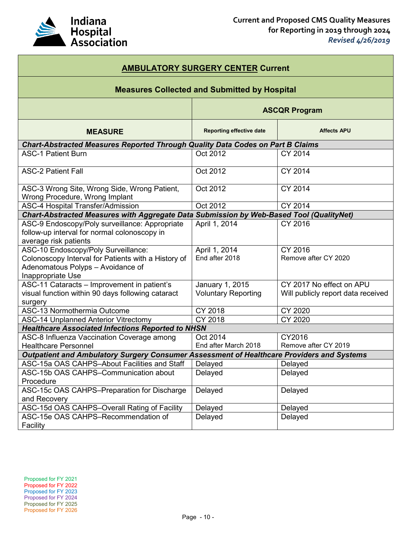

| <b>AMBULATORY SURGERY CENTER Current</b>                                                                                                             |                                               |                                                                |  |  |
|------------------------------------------------------------------------------------------------------------------------------------------------------|-----------------------------------------------|----------------------------------------------------------------|--|--|
| <b>Measures Collected and Submitted by Hospital</b>                                                                                                  |                                               |                                                                |  |  |
| <b>ASCQR Program</b>                                                                                                                                 |                                               |                                                                |  |  |
| <b>MEASURE</b>                                                                                                                                       | <b>Reporting effective date</b>               | <b>Affects APU</b>                                             |  |  |
| Chart-Abstracted Measures Reported Through Quality Data Codes on Part B Claims                                                                       |                                               |                                                                |  |  |
| <b>ASC-1 Patient Burn</b>                                                                                                                            | Oct 2012                                      | CY 2014                                                        |  |  |
| <b>ASC-2 Patient Fall</b>                                                                                                                            | Oct 2012                                      | CY 2014                                                        |  |  |
| ASC-3 Wrong Site, Wrong Side, Wrong Patient,<br>Wrong Procedure, Wrong Implant                                                                       | Oct 2012                                      | CY 2014                                                        |  |  |
| <b>ASC-4 Hospital Transfer/Admission</b>                                                                                                             | Oct 2012                                      | CY 2014                                                        |  |  |
| Chart-Abstracted Measures with Aggregate Data Submission by Web-Based Tool (QualityNet)                                                              |                                               |                                                                |  |  |
| ASC-9 Endoscopy/Poly surveillance: Appropriate<br>follow-up interval for normal colonoscopy in<br>average risk patients                              | April 1, 2014                                 | CY 2016                                                        |  |  |
| ASC-10 Endoscopy/Poly Surveillance:<br>Colonoscopy Interval for Patients with a History of<br>Adenomatous Polyps - Avoidance of<br>Inappropriate Use | April 1, 2014<br>End after 2018               | CY 2016<br>Remove after CY 2020                                |  |  |
| ASC-11 Cataracts - Improvement in patient's<br>visual function within 90 days following cataract<br>surgery                                          | January 1, 2015<br><b>Voluntary Reporting</b> | CY 2017 No effect on APU<br>Will publicly report data received |  |  |
| ASC-13 Normothermia Outcome                                                                                                                          | CY 2018                                       | CY 2020                                                        |  |  |
| <b>ASC-14 Unplanned Anterior Vitrectomy</b>                                                                                                          | CY 2018                                       | CY 2020                                                        |  |  |
| <b>Healthcare Associated Infections Reported to NHSN</b>                                                                                             |                                               |                                                                |  |  |
| ASC-8 Influenza Vaccination Coverage among                                                                                                           | Oct 2014                                      | CY2016                                                         |  |  |
| <b>Healthcare Personnel</b>                                                                                                                          | End after March 2018                          | Remove after CY 2019                                           |  |  |
| Outpatient and Ambulatory Surgery Consumer Assessment of Healthcare Providers and Systems                                                            |                                               |                                                                |  |  |
| ASC-15a OAS CAHPS-About Facilities and Staff                                                                                                         | Delayed                                       | Delayed                                                        |  |  |
| ASC-15b OAS CAHPS-Communication about<br>Procedure                                                                                                   | Delayed                                       | Delayed                                                        |  |  |
| ASC-15c OAS CAHPS-Preparation for Discharge<br>and Recovery                                                                                          | Delayed                                       | Delayed                                                        |  |  |
| ASC-15d OAS CAHPS-Overall Rating of Facility                                                                                                         | Delayed                                       | Delayed                                                        |  |  |
| ASC-15e OAS CAHPS-Recommendation of<br>Facility                                                                                                      | Delayed                                       | Delayed                                                        |  |  |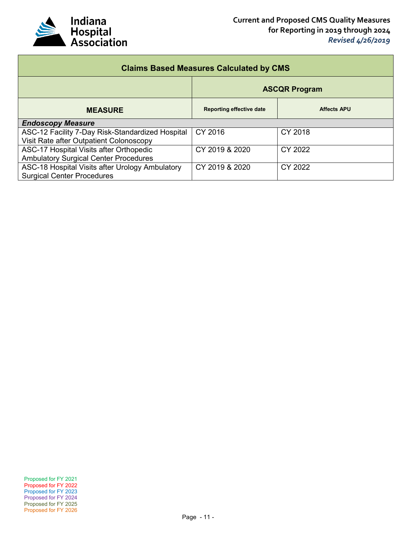

| <b>Claims Based Measures Calculated by CMS</b>   |                                 |                    |  |  |  |
|--------------------------------------------------|---------------------------------|--------------------|--|--|--|
|                                                  | <b>ASCQR Program</b>            |                    |  |  |  |
| <b>MEASURE</b>                                   | <b>Reporting effective date</b> | <b>Affects APU</b> |  |  |  |
| <b>Endoscopy Measure</b>                         |                                 |                    |  |  |  |
| ASC-12 Facility 7-Day Risk-Standardized Hospital | CY 2016                         | CY 2018            |  |  |  |
| Visit Rate after Outpatient Colonoscopy          |                                 |                    |  |  |  |
| ASC-17 Hospital Visits after Orthopedic          | CY 2019 & 2020                  | CY 2022            |  |  |  |
| <b>Ambulatory Surgical Center Procedures</b>     |                                 |                    |  |  |  |
| ASC-18 Hospital Visits after Urology Ambulatory  | CY 2019 & 2020                  | CY 2022            |  |  |  |
| <b>Surgical Center Procedures</b>                |                                 |                    |  |  |  |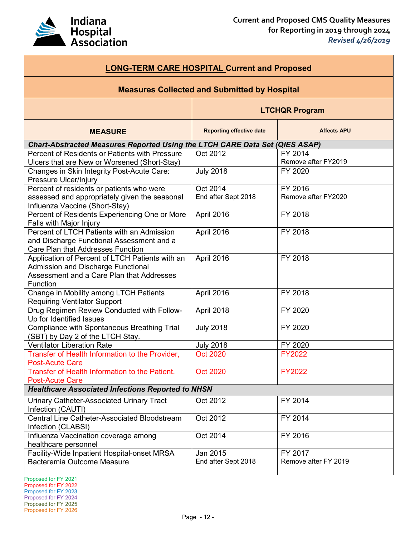

| <b>LONG-TERM CARE HOSPITAL Current and Proposed</b>                                                                                                   |                                 |                                 |  |
|-------------------------------------------------------------------------------------------------------------------------------------------------------|---------------------------------|---------------------------------|--|
| <b>Measures Collected and Submitted by Hospital</b>                                                                                                   |                                 |                                 |  |
|                                                                                                                                                       | <b>LTCHQR Program</b>           |                                 |  |
| <b>MEASURE</b>                                                                                                                                        | <b>Reporting effective date</b> | <b>Affects APU</b>              |  |
| <b>Chart-Abstracted Measures Reported Using the LTCH CARE Data Set (QIES ASAP)</b>                                                                    |                                 |                                 |  |
| Percent of Residents or Patients with Pressure<br>Ulcers that are New or Worsened (Short-Stay)                                                        | Oct 2012                        | FY 2014<br>Remove after FY2019  |  |
| Changes in Skin Integrity Post-Acute Care:<br>Pressure Ulcer/Injury                                                                                   | <b>July 2018</b>                | FY 2020                         |  |
| Percent of residents or patients who were<br>assessed and appropriately given the seasonal<br>Influenza Vaccine (Short-Stay)                          | Oct 2014<br>End after Sept 2018 | FY 2016<br>Remove after FY2020  |  |
| Percent of Residents Experiencing One or More<br>Falls with Major Injury                                                                              | April 2016                      | FY 2018                         |  |
| Percent of LTCH Patients with an Admission<br>and Discharge Functional Assessment and a<br>Care Plan that Addresses Function                          | April 2016                      | FY 2018                         |  |
| Application of Percent of LTCH Patients with an<br>Admission and Discharge Functional<br>Assessment and a Care Plan that Addresses<br><b>Function</b> | April 2016                      | FY 2018                         |  |
| Change in Mobility among LTCH Patients<br><b>Requiring Ventilator Support</b>                                                                         | April 2016                      | FY 2018                         |  |
| Drug Regimen Review Conducted with Follow-<br>Up for Identified Issues                                                                                | April 2018                      | FY 2020                         |  |
| Compliance with Spontaneous Breathing Trial<br>(SBT) by Day 2 of the LTCH Stay.                                                                       | <b>July 2018</b>                | FY 2020                         |  |
| <b>Ventilator Liberation Rate</b>                                                                                                                     | <b>July 2018</b>                | FY 2020                         |  |
| Transfer of Health Information to the Provider,<br><b>Post-Acute Care</b>                                                                             | <b>Oct 2020</b>                 | <b>FY2022</b>                   |  |
| Transfer of Health Information to the Patient,<br><b>Post-Acute Care</b>                                                                              | <b>Oct 2020</b>                 | <b>FY2022</b>                   |  |
| <b>Healthcare Associated Infections Reported to NHSN</b>                                                                                              |                                 |                                 |  |
| <b>Urinary Catheter-Associated Urinary Tract</b><br>Infection (CAUTI)                                                                                 | Oct 2012                        | FY 2014                         |  |
| <b>Central Line Catheter-Associated Bloodstream</b><br>Infection (CLABSI)                                                                             | Oct 2012                        | FY 2014                         |  |
| Influenza Vaccination coverage among<br>healthcare personnel                                                                                          | Oct 2014                        | FY 2016                         |  |
| Facility-Wide Inpatient Hospital-onset MRSA<br>Bacteremia Outcome Measure                                                                             | Jan 2015<br>End after Sept 2018 | FY 2017<br>Remove after FY 2019 |  |

Proposed for FY 2026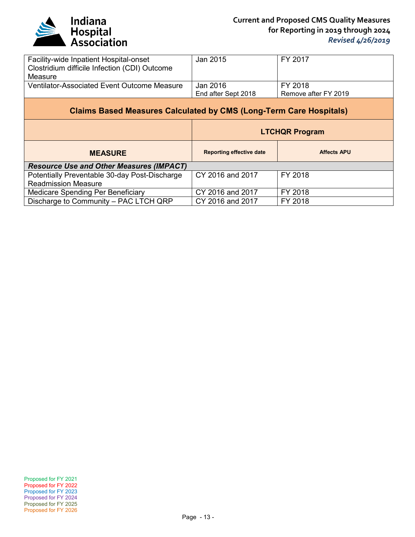

| Facility-wide Inpatient Hospital-onset<br>Clostridium difficile Infection (CDI) Outcome<br>Measure | Jan 2015                        | FY 2017                         |
|----------------------------------------------------------------------------------------------------|---------------------------------|---------------------------------|
| Ventilator-Associated Event Outcome Measure                                                        | Jan 2016<br>End after Sept 2018 | FY 2018<br>Remove after FY 2019 |
| <b>Claims Based Measures Calculated by CMS (Long-Term Care Hospitals)</b>                          |                                 |                                 |
|                                                                                                    |                                 | <b>LTCHQR Program</b>           |
|                                                                                                    |                                 |                                 |
| <b>MEASURE</b>                                                                                     | <b>Reporting effective date</b> | <b>Affects APU</b>              |
| <b>Resource Use and Other Measures (IMPACT)</b>                                                    |                                 |                                 |
| Potentially Preventable 30-day Post-Discharge                                                      | CY 2016 and 2017                | FY 2018                         |
| <b>Readmission Measure</b>                                                                         |                                 |                                 |
| Medicare Spending Per Beneficiary                                                                  | CY 2016 and 2017                | FY 2018                         |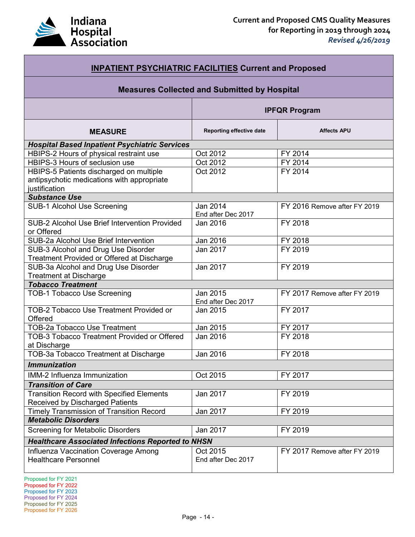

| <b>INPATIENT PSYCHIATRIC FACILITIES Current and Proposed</b>                                           |                                |                              |  |
|--------------------------------------------------------------------------------------------------------|--------------------------------|------------------------------|--|
| <b>Measures Collected and Submitted by Hospital</b>                                                    |                                |                              |  |
|                                                                                                        | <b>IPFQR Program</b>           |                              |  |
| <b>MEASURE</b>                                                                                         | Reporting effective date       | <b>Affects APU</b>           |  |
| <b>Hospital Based Inpatient Psychiatric Services</b>                                                   |                                |                              |  |
| HBIPS-2 Hours of physical restraint use                                                                | Oct 2012                       | FY 2014                      |  |
| HBIPS-3 Hours of seclusion use                                                                         | Oct 2012                       | FY 2014                      |  |
| HBIPS-5 Patients discharged on multiple<br>antipsychotic medications with appropriate<br>justification | Oct 2012                       | FY 2014                      |  |
| <b>Substance Use</b>                                                                                   |                                |                              |  |
| <b>SUB-1 Alcohol Use Screening</b>                                                                     | Jan 2014<br>End after Dec 2017 | FY 2016 Remove after FY 2019 |  |
| SUB-2 Alcohol Use Brief Intervention Provided<br>or Offered                                            | Jan 2016                       | FY 2018                      |  |
| SUB-2a Alcohol Use Brief Intervention                                                                  | Jan 2016                       | FY 2018                      |  |
| SUB-3 Alcohol and Drug Use Disorder<br>Treatment Provided or Offered at Discharge                      | Jan 2017                       | FY 2019                      |  |
| SUB-3a Alcohol and Drug Use Disorder<br><b>Treatment at Discharge</b>                                  | Jan 2017                       | FY 2019                      |  |
| <b>Tobacco Treatment</b>                                                                               |                                |                              |  |
| <b>TOB-1 Tobacco Use Screening</b>                                                                     | Jan 2015<br>End after Dec 2017 | FY 2017 Remove after FY 2019 |  |
| <b>TOB-2 Tobacco Use Treatment Provided or</b><br>Offered                                              | Jan 2015                       | FY 2017                      |  |
| <b>TOB-2a Tobacco Use Treatment</b>                                                                    | Jan 2015                       | FY 2017                      |  |
| <b>TOB-3 Tobacco Treatment Provided or Offered</b><br>at Discharge                                     | Jan 2016                       | FY 2018                      |  |
| TOB-3a Tobacco Treatment at Discharge                                                                  | Jan 2016                       | FY 2018                      |  |
| <b>Immunization</b>                                                                                    |                                |                              |  |
| IMM-2 Influenza Immunization                                                                           | Oct 2015                       | FY 2017                      |  |
| <b>Transition of Care</b>                                                                              |                                |                              |  |
| <b>Transition Record with Specified Elements</b><br><b>Received by Discharged Patients</b>             | Jan 2017                       | FY 2019                      |  |
| <b>Timely Transmission of Transition Record</b>                                                        | Jan 2017                       | FY 2019                      |  |
| <b>Metabolic Disorders</b>                                                                             |                                |                              |  |
| <b>Screening for Metabolic Disorders</b>                                                               | Jan 2017                       | FY 2019                      |  |
| <b>Healthcare Associated Infections Reported to NHSN</b>                                               |                                |                              |  |
| Influenza Vaccination Coverage Among<br><b>Healthcare Personnel</b>                                    | Oct 2015<br>End after Dec 2017 | FY 2017 Remove after FY 2019 |  |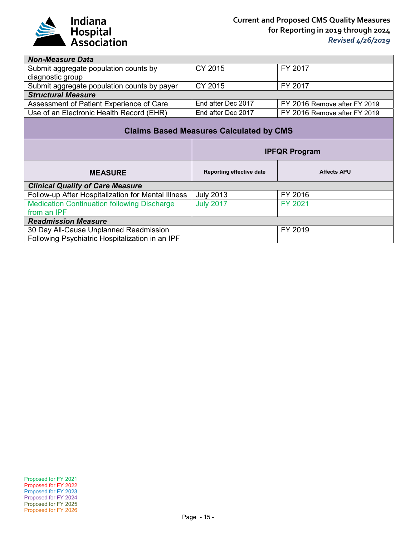

| <b>Non-Measure Data</b>                            |                                 |                              |
|----------------------------------------------------|---------------------------------|------------------------------|
| Submit aggregate population counts by              | CY 2015                         | FY 2017                      |
| diagnostic group                                   |                                 |                              |
| Submit aggregate population counts by payer        | CY 2015                         | FY 2017                      |
| <b>Structural Measure</b>                          |                                 |                              |
| Assessment of Patient Experience of Care           | End after Dec 2017              | FY 2016 Remove after FY 2019 |
| Use of an Electronic Health Record (EHR)           | End after Dec 2017              | FY 2016 Remove after FY 2019 |
| <b>Claims Based Measures Calculated by CMS</b>     |                                 |                              |
| <b>IPFQR Program</b>                               |                                 |                              |
|                                                    |                                 |                              |
| <b>MEASURE</b>                                     | <b>Reporting effective date</b> | <b>Affects APU</b>           |
| <b>Clinical Quality of Care Measure</b>            |                                 |                              |
| Follow-up After Hospitalization for Mental Illness | <b>July 2013</b>                | FY 2016                      |
| <b>Medication Continuation following Discharge</b> | <b>July 2017</b>                | FY 2021                      |
| from an IPF                                        |                                 |                              |
| <b>Readmission Measure</b>                         |                                 |                              |
| 30 Day All-Cause Unplanned Readmission             |                                 | FY 2019                      |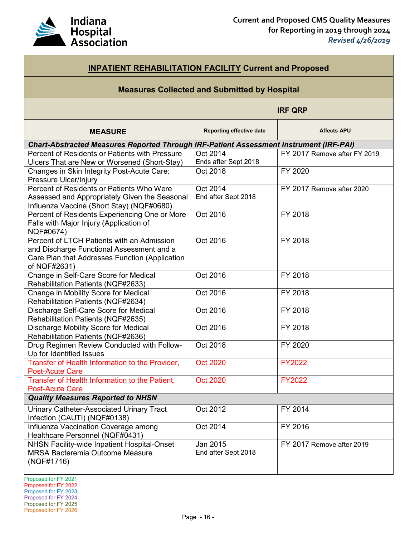

| <b>INPATIENT REHABILITATION FACILITY Current and Proposed</b>                                                                                             |                                  |                              |
|-----------------------------------------------------------------------------------------------------------------------------------------------------------|----------------------------------|------------------------------|
| <b>Measures Collected and Submitted by Hospital</b>                                                                                                       |                                  |                              |
|                                                                                                                                                           | <b>IRF QRP</b>                   |                              |
| <b>MEASURE</b>                                                                                                                                            | <b>Reporting effective date</b>  | <b>Affects APU</b>           |
| <b>Chart-Abstracted Measures Reported Through IRF-Patient Assessment Instrument (IRF-PAI)</b>                                                             |                                  |                              |
| Percent of Residents or Patients with Pressure<br>Ulcers That are New or Worsened (Short-Stay)                                                            | Oct 2014<br>Ends after Sept 2018 | FY 2017 Remove after FY 2019 |
| Changes in Skin Integrity Post-Acute Care:<br>Pressure Ulcer/Injury                                                                                       | Oct 2018                         | FY 2020                      |
| Percent of Residents or Patients Who Were<br>Assessed and Appropriately Given the Seasonal<br>Influenza Vaccine (Short Stay) (NQF#0680)                   | Oct 2014<br>End after Sept 2018  | FY 2017 Remove after 2020    |
| Percent of Residents Experiencing One or More<br>Falls with Major Injury (Application of<br>NQF#0674)                                                     | Oct 2016                         | FY 2018                      |
| Percent of LTCH Patients with an Admission<br>and Discharge Functional Assessment and a<br>Care Plan that Addresses Function (Application<br>of NQF#2631) | Oct 2016                         | FY 2018                      |
| Change in Self-Care Score for Medical<br>Rehabilitation Patients (NQF#2633)                                                                               | Oct 2016                         | FY 2018                      |
| Change in Mobility Score for Medical<br>Rehabilitation Patients (NQF#2634)                                                                                | Oct 2016                         | FY 2018                      |
| Discharge Self-Care Score for Medical<br>Rehabilitation Patients (NQF#2635)                                                                               | Oct 2016                         | FY 2018                      |
| Discharge Mobility Score for Medical<br>Rehabilitation Patients (NQF#2636)                                                                                | Oct 2016                         | FY 2018                      |
| Drug Regimen Review Conducted with Follow-<br>Up for Identified Issues                                                                                    | Oct 2018                         | FY 2020                      |
| Transfer of Health Information to the Provider,<br><b>Post-Acute Care</b>                                                                                 | <b>Oct 2020</b>                  | <b>FY2022</b>                |
| Transfer of Health Information to the Patient,<br><b>Post-Acute Care</b>                                                                                  | <b>Oct 2020</b>                  | <b>FY2022</b>                |
| <b>Quality Measures Reported to NHSN</b>                                                                                                                  |                                  |                              |
| Urinary Catheter-Associated Urinary Tract<br>Infection (CAUTI) (NQF#0138)                                                                                 | Oct 2012                         | FY 2014                      |
| Influenza Vaccination Coverage among<br>Healthcare Personnel (NQF#0431)                                                                                   | Oct 2014                         | FY 2016                      |
| NHSN Facility-wide Inpatient Hospital-Onset<br><b>MRSA Bacteremia Outcome Measure</b><br>(NQF#1716)                                                       | Jan 2015<br>End after Sept 2018  | FY 2017 Remove after 2019    |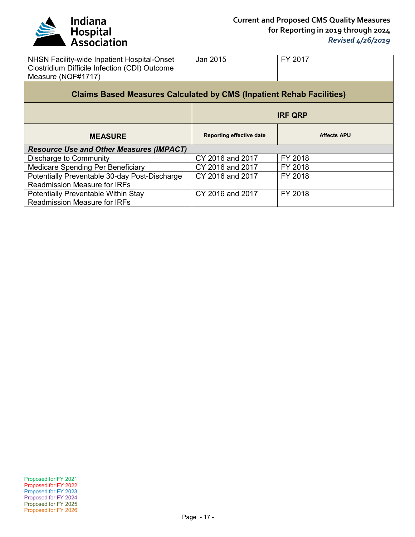

| NHSN Facility-wide Inpatient Hospital-Onset<br>Clostridium Difficile Infection (CDI) Outcome<br>Measure (NQF#1717) | Jan 2015                        | FY 2017            |  |
|--------------------------------------------------------------------------------------------------------------------|---------------------------------|--------------------|--|
| <b>Claims Based Measures Calculated by CMS (Inpatient Rehab Facilities)</b>                                        |                                 |                    |  |
|                                                                                                                    |                                 | <b>IRF QRP</b>     |  |
| <b>MEASURE</b>                                                                                                     | <b>Reporting effective date</b> | <b>Affects APU</b> |  |
|                                                                                                                    |                                 |                    |  |
| <b>Resource Use and Other Measures (IMPACT)</b>                                                                    |                                 |                    |  |
| Discharge to Community                                                                                             | CY 2016 and 2017                | FY 2018            |  |
| Medicare Spending Per Beneficiary                                                                                  | CY 2016 and 2017                | FY 2018            |  |
| Potentially Preventable 30-day Post-Discharge                                                                      | CY 2016 and 2017                | FY 2018            |  |
| <b>Readmission Measure for IRFs</b>                                                                                |                                 |                    |  |
| <b>Potentially Preventable Within Stay</b><br><b>Readmission Measure for IRFs</b>                                  | CY 2016 and 2017                | FY 2018            |  |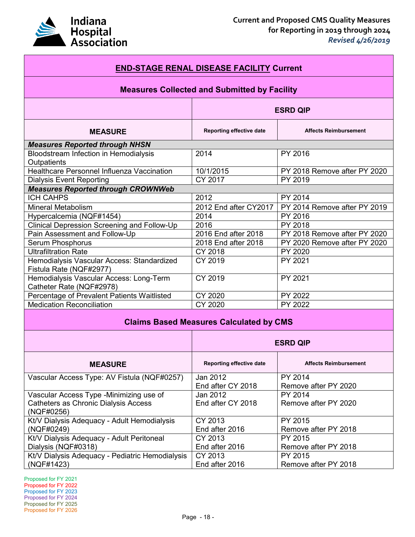

| <b>END-STAGE RENAL DISEASE FACILITY Current</b>                       |                           |                                 |
|-----------------------------------------------------------------------|---------------------------|---------------------------------|
| <b>Measures Collected and Submitted by Facility</b>                   |                           |                                 |
|                                                                       | <b>ESRD QIP</b>           |                                 |
| <b>MEASURE</b>                                                        | Reporting effective date  | <b>Affects Reimbursement</b>    |
| <b>Measures Reported through NHSN</b>                                 |                           |                                 |
| Bloodstream Infection in Hemodialysis<br>Outpatients                  | 2014                      | PY 2016                         |
| Healthcare Personnel Influenza Vaccination                            | 10/1/2015                 | PY 2018 Remove after PY 2020    |
| <b>Dialysis Event Reporting</b>                                       | CY 2017                   | PY 2019                         |
| <b>Measures Reported through CROWNWeb</b>                             |                           |                                 |
| <b>ICH CAHPS</b>                                                      | 2012                      | PY 2014                         |
| <b>Mineral Metabolism</b>                                             | 2012 End after CY2017     | PY 2014 Remove after PY 2019    |
| Hypercalcemia (NQF#1454)                                              | 2014                      | PY 2016                         |
| <b>Clinical Depression Screening and Follow-Up</b>                    | 2016                      | PY 2018                         |
| Pain Assessment and Follow-Up                                         | 2016 End after 2018       | PY 2018 Remove after PY 2020    |
| <b>Serum Phosphorus</b>                                               | 2018 End after 2018       | PY 2020 Remove after PY 2020    |
| <b>Ultrafiltration Rate</b>                                           | CY 2018                   | PY 2020                         |
| Hemodialysis Vascular Access: Standardized<br>Fistula Rate (NQF#2977) | CY 2019                   | PY 2021                         |
| Hemodialysis Vascular Access: Long-Term<br>Catheter Rate (NQF#2978)   | CY 2019                   | PY 2021                         |
| Percentage of Prevalent Patients Waitlisted                           | CY 2020                   | PY 2022                         |
| <b>Medication Reconciliation</b>                                      | CY 2020                   | PY 2022                         |
| <b>Claims Based Measures Calculated by CMS</b>                        |                           |                                 |
|                                                                       | <b>ESRD QIP</b>           |                                 |
| <b>MEASURE</b>                                                        | Reporting effective date  | <b>Affects Reimbursement</b>    |
| Vascular Access Type: AV Fistula (NQF#0257)                           | Jan 2012                  | PY 2014                         |
|                                                                       | End after CY 2018         | Remove after PY 2020            |
| Vascular Access Type -Minimizing use of                               | Jan 2012                  | PY 2014                         |
| Catheters as Chronic Dialysis Access<br>(NQF#0256)                    | End after CY 2018         | Remove after PY 2020            |
| Kt/V Dialysis Adequacy - Adult Hemodialysis                           | CY 2013                   | PY 2015                         |
| (NQF#0249)                                                            | End after 2016            | Remove after PY 2018            |
| Kt/V Dialysis Adequacy - Adult Peritoneal                             | CY 2013                   | PY 2015                         |
| Dialysis (NQF#0318)                                                   | End after 2016            | Remove after PY 2018            |
| Kt/V Dialysis Adequacy - Pediatric Hemodialysis<br>(NQF#1423)         | CY 2013<br>End after 2016 | PY 2015<br>Remove after PY 2018 |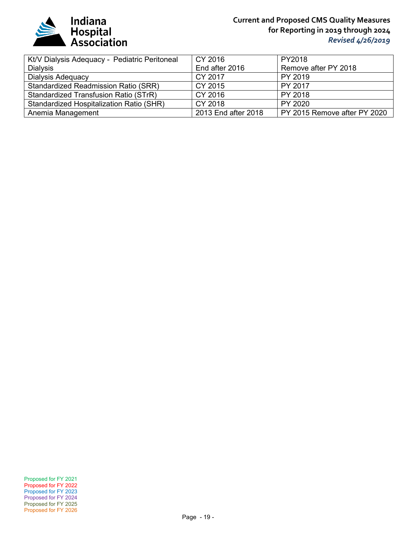

## **Current and Proposed CMS Quality Measures for Reporting in 2019 through 2024** *Revised 4/26/2019*

| Kt/V Dialysis Adequacy - Pediatric Peritoneal | CY 2016             | PY2018                       |
|-----------------------------------------------|---------------------|------------------------------|
| <b>Dialysis</b>                               | End after 2016      | Remove after PY 2018         |
| Dialysis Adequacy                             | CY 2017             | PY 2019                      |
| <b>Standardized Readmission Ratio (SRR)</b>   | CY 2015             | PY 2017                      |
| Standardized Transfusion Ratio (STrR)         | CY 2016             | PY 2018                      |
| Standardized Hospitalization Ratio (SHR)      | CY 2018             | PY 2020                      |
| Anemia Management                             | 2013 End after 2018 | PY 2015 Remove after PY 2020 |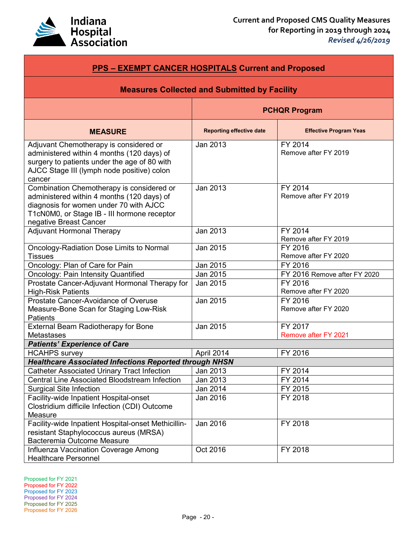

| <b>PPS - EXEMPT CANCER HOSPITALS Current and Proposed</b>                                                                                                                                                  |                                 |                                 |
|------------------------------------------------------------------------------------------------------------------------------------------------------------------------------------------------------------|---------------------------------|---------------------------------|
| <b>Measures Collected and Submitted by Facility</b>                                                                                                                                                        |                                 |                                 |
|                                                                                                                                                                                                            | <b>PCHQR Program</b>            |                                 |
| <b>MEASURE</b>                                                                                                                                                                                             | <b>Reporting effective date</b> | <b>Effective Program Yeas</b>   |
| Adjuvant Chemotherapy is considered or<br>administered within 4 months (120 days) of<br>surgery to patients under the age of 80 with<br>AJCC Stage III (lymph node positive) colon<br>cancer               | Jan 2013                        | FY 2014<br>Remove after FY 2019 |
| Combination Chemotherapy is considered or<br>administered within 4 months (120 days) of<br>diagnosis for women under 70 with AJCC<br>T1cN0M0, or Stage IB - III hormone receptor<br>negative Breast Cancer | Jan 2013                        | FY 2014<br>Remove after FY 2019 |
| <b>Adjuvant Hormonal Therapy</b>                                                                                                                                                                           | Jan 2013                        | FY 2014<br>Remove after FY 2019 |
| <b>Oncology-Radiation Dose Limits to Normal</b><br><b>Tissues</b>                                                                                                                                          | Jan 2015                        | FY 2016<br>Remove after FY 2020 |
| Oncology: Plan of Care for Pain                                                                                                                                                                            | Jan 2015                        | FY 2016                         |
| Oncology: Pain Intensity Quantified                                                                                                                                                                        | Jan 2015                        | FY 2016 Remove after FY 2020    |
| Prostate Cancer-Adjuvant Hormonal Therapy for<br><b>High-Risk Patients</b>                                                                                                                                 | Jan 2015                        | FY 2016<br>Remove after FY 2020 |
| Prostate Cancer-Avoidance of Overuse<br>Measure-Bone Scan for Staging Low-Risk<br><b>Patients</b>                                                                                                          | Jan 2015                        | FY 2016<br>Remove after FY 2020 |
| <b>External Beam Radiotherapy for Bone</b><br><b>Metastases</b>                                                                                                                                            | Jan 2015                        | FY 2017<br>Remove after FY 2021 |
| <b>Patients' Experience of Care</b>                                                                                                                                                                        |                                 |                                 |
| <b>HCAHPS</b> survey                                                                                                                                                                                       | April 2014                      | FY 2016                         |
| <b>Healthcare Associated Infections Reported through NHSN</b>                                                                                                                                              |                                 |                                 |
| <b>Catheter Associated Urinary Tract Infection</b>                                                                                                                                                         | Jan 2013                        | FY 2014                         |
| <b>Central Line Associated Bloodstream Infection</b>                                                                                                                                                       | Jan 2013                        | FY 2014                         |
| <b>Surgical Site Infection</b>                                                                                                                                                                             | Jan 2014                        | FY 2015                         |
| Facility-wide Inpatient Hospital-onset<br>Clostridium difficile Infection (CDI) Outcome<br>Measure                                                                                                         | Jan 2016                        | FY 2018                         |
| Facility-wide Inpatient Hospital-onset Methicillin-<br>resistant Staphylococcus aureus (MRSA)<br>Bacteremia Outcome Measure                                                                                | Jan 2016                        | FY 2018                         |
| Influenza Vaccination Coverage Among<br><b>Healthcare Personnel</b>                                                                                                                                        | Oct 2016                        | FY 2018                         |